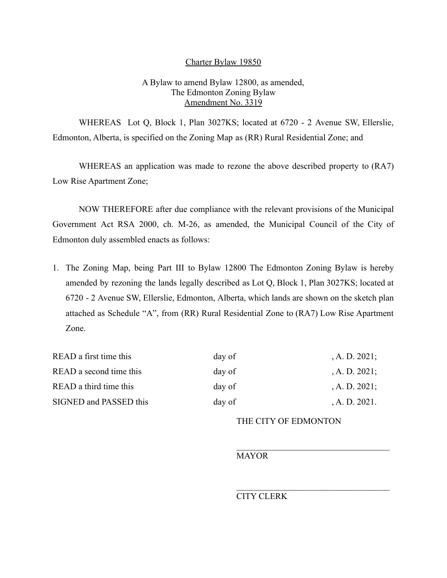## Charter Bylaw 19850

## A Bylaw to amend Bylaw 12800, as amended, The Edmonton Zoning Bylaw Amendment No. 3319

WHEREAS Lot Q, Block 1, Plan 3027KS; located at 6720 - 2 Avenue SW, Ellerslie, Edmonton, Alberta, is specified on the Zoning Map as (RR) Rural Residential Zone; and

WHEREAS an application was made to rezone the above described property to (RA7) Low Rise Apartment Zone;

NOW THEREFORE after due compliance with the relevant provisions of the Municipal Government Act RSA 2000, ch. M-26, as amended, the Municipal Council of the City of Edmonton duly assembled enacts as follows:

1. The Zoning Map, being Part III to Bylaw 12800 The Edmonton Zoning Bylaw is hereby amended by rezoning the lands legally described as Lot Q, Block 1, Plan 3027KS; located at 6720 - 2 Avenue SW, Ellerslie, Edmonton, Alberta, which lands are shown on the sketch plan attached as Schedule "A", from (RR) Rural Residential Zone to (RA7) Low Rise Apartment Zone.

| READ a first time this  | day of | $A. D. 2021$ ; |
|-------------------------|--------|----------------|
| READ a second time this | day of | $A. D. 2021$ ; |
| READ a third time this  | day of | $A. D. 2021$ ; |
| SIGNED and PASSED this  | day of | A. D. 2021.    |

THE CITY OF EDMONTON

 $\mathcal{L}_\text{max}$  , and the set of the set of the set of the set of the set of the set of the set of the set of the set of the set of the set of the set of the set of the set of the set of the set of the set of the set of the

 $\mathcal{L}_\text{max}$ 

MAYOR

CITY CLERK